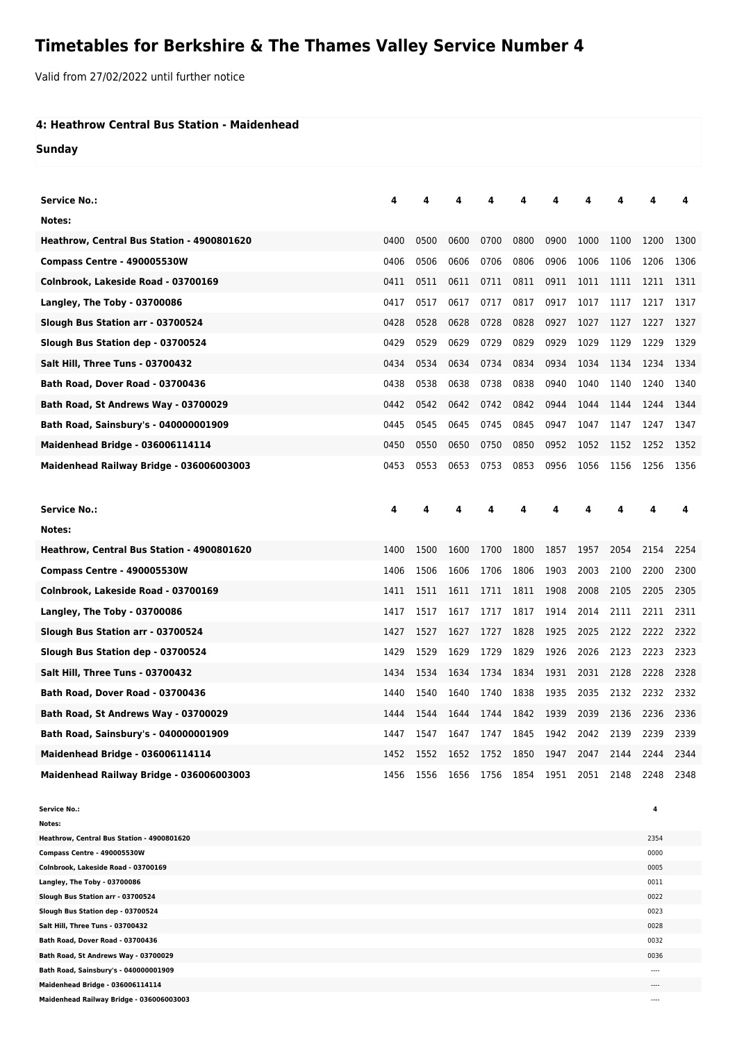## **Timetables for Berkshire & The Thames Valley Service Number 4**

Valid from 27/02/2022 until further notice

## **4: Heathrow Central Bus Station - Maidenhead**

**Sunday**

| Service No.:                                                              | 4    |      |      |      |      | 4         | 4    |      |              | 4    |
|---------------------------------------------------------------------------|------|------|------|------|------|-----------|------|------|--------------|------|
| Notes:                                                                    |      |      |      |      |      |           |      |      |              |      |
| Heathrow, Central Bus Station - 4900801620                                | 0400 | 0500 | 0600 | 0700 | 0800 | 0900      | 1000 | 1100 | 1200         | 1300 |
| Compass Centre - 490005530W                                               | 0406 | 0506 | 0606 | 0706 | 0806 | 0906      | 1006 | 1106 | 1206         | 1306 |
| Colnbrook, Lakeside Road - 03700169                                       | 0411 | 0511 | 0611 | 0711 | 0811 | 0911      | 1011 | 1111 | 1211         | 1311 |
| Langley, The Toby - 03700086                                              | 0417 | 0517 | 0617 | 0717 | 0817 | 0917      | 1017 | 1117 | 1217         | 1317 |
| Slough Bus Station arr - 03700524                                         | 0428 | 0528 | 0628 | 0728 | 0828 | 0927      | 1027 | 1127 | 1227         | 1327 |
| Slough Bus Station dep - 03700524                                         | 0429 | 0529 | 0629 | 0729 | 0829 | 0929      | 1029 | 1129 | 1229         | 1329 |
| Salt Hill, Three Tuns - 03700432                                          | 0434 | 0534 | 0634 | 0734 | 0834 | 0934      | 1034 | 1134 | 1234         | 1334 |
| Bath Road, Dover Road - 03700436                                          | 0438 | 0538 | 0638 | 0738 | 0838 | 0940      | 1040 | 1140 | 1240         | 1340 |
| Bath Road, St Andrews Way - 03700029                                      | 0442 | 0542 | 0642 | 0742 | 0842 | 0944      | 1044 | 1144 | 1244         | 1344 |
| Bath Road, Sainsbury's - 040000001909                                     | 0445 | 0545 | 0645 | 0745 | 0845 | 0947      | 1047 | 1147 | 1247         | 1347 |
| <b>Maidenhead Bridge - 036006114114</b>                                   | 0450 | 0550 | 0650 | 0750 | 0850 | 0952      | 1052 | 1152 | 1252         | 1352 |
| Maidenhead Railway Bridge - 036006003003                                  | 0453 | 0553 | 0653 | 0753 | 0853 | 0956      | 1056 | 1156 | 1256         | 1356 |
|                                                                           |      |      |      |      |      |           |      |      |              |      |
| <b>Service No.:</b>                                                       | 4    | 4    | 4    | 4    |      | 4         | 4    | 4    | 4            | 4    |
| Notes:                                                                    |      |      |      |      |      |           |      |      |              |      |
| Heathrow, Central Bus Station - 4900801620                                | 1400 | 1500 | 1600 | 1700 | 1800 | 1857      | 1957 | 2054 | 2154         | 2254 |
| Compass Centre - 490005530W                                               | 1406 | 1506 | 1606 | 1706 | 1806 | 1903      | 2003 | 2100 | 2200         | 2300 |
| Colnbrook, Lakeside Road - 03700169                                       | 1411 | 1511 | 1611 | 1711 | 1811 | 1908      | 2008 | 2105 | 2205         | 2305 |
| Langley, The Toby - 03700086                                              | 1417 | 1517 | 1617 | 1717 | 1817 | 1914      | 2014 | 2111 | 2211         | 2311 |
| Slough Bus Station arr - 03700524                                         | 1427 | 1527 | 1627 | 1727 | 1828 | 1925      | 2025 | 2122 | 2222         | 2322 |
| Slough Bus Station dep - 03700524                                         | 1429 | 1529 | 1629 | 1729 | 1829 | 1926      | 2026 | 2123 | 2223         | 2323 |
| Salt Hill, Three Tuns - 03700432                                          | 1434 | 1534 | 1634 | 1734 | 1834 | 1931      | 2031 | 2128 | 2228         | 2328 |
| Bath Road, Dover Road - 03700436                                          | 1440 | 1540 | 1640 | 1740 | 1838 | 1935      | 2035 | 2132 | 2232         | 2332 |
| Bath Road, St Andrews Way - 03700029                                      | 1444 | 1544 | 1644 | 1744 | 1842 | 1939      | 2039 | 2136 | 2236         | 2336 |
| Bath Road, Sainsbury's - 040000001909                                     | 1447 | 1547 | 1647 | 1747 | 1845 | 1942      | 2042 | 2139 | 2239         | 2339 |
| <b>Maidenhead Bridge - 036006114114</b>                                   | 1452 | 1552 | 1652 | 1752 | 1850 | 1947      | 2047 | 2144 | 2244         | 2344 |
| Maidenhead Railway Bridge - 036006003003                                  | 1456 | 1556 | 1656 | 1756 | 1854 | 1951 2051 |      | 2148 | 2248         | 2348 |
|                                                                           |      |      |      |      |      |           |      |      |              |      |
| <b>Service No.:</b>                                                       |      |      |      |      |      |           |      |      | 4            |      |
|                                                                           |      |      |      |      |      |           |      |      |              |      |
| Notes:                                                                    |      |      |      |      |      |           |      |      |              |      |
| Heathrow, Central Bus Station - 4900801620<br>Compass Centre - 490005530W |      |      |      |      |      |           |      |      | 2354<br>0000 |      |
| Colnbrook, Lakeside Road - 03700169                                       |      |      |      |      |      |           |      |      | 0005         |      |

**Slough Bus Station arr - 03700524** 0022 **Slough Bus Station dep - 03700524** 0023 **Salt Hill, Three Tuns - 03700432** 0028 **Bath Road, Dover Road - 03700436** 0032 **Bath Road, St Andrews Way - 03700029** 0036 **Bath Road, Sainsbury's - 040000001909** ---- **Maidenhead Bridge - 036006114114** ---- **Maidenhead Railway Bridge - 036006003003** ----